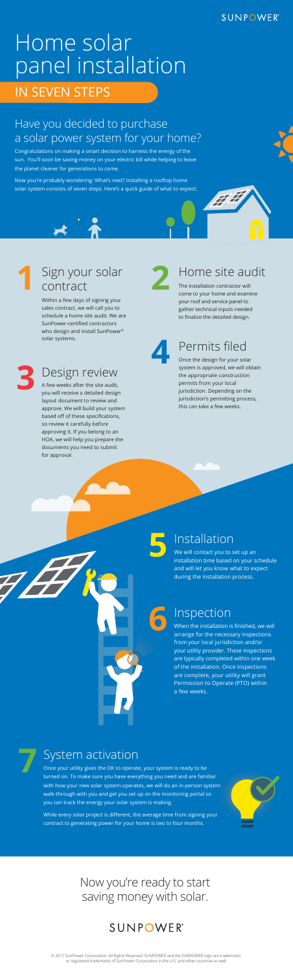Congratulations on making a smart decision to harness the energy of the sun. You'll soon be saving money on your electric bill while helping to leave the planet cleaner for generations to come.

#### **SUNPOWER®**

# IN SEVEN STEPS Home solar panel installation

Now you're probably wondering: What's next? Installing a rooftop home solar system consists of seven steps. Here's a quick guide of what to expect:

#### Have you decided to purchase a solar power system for your home?

#### **3** Design review

A few weeks after the site audit, you will receive a detailed design layout document to review and approve. We will build your system based off of these specifications, so review it carefully before approving it. If you belong to an HOA, we will help you prepare the documents you need to submit for approval.

**4** Permits filed

Once the design for your solar system is approved, we will obtain the appropriate construction permits from your local jurisdiction. Depending on the jurisdiction's permitting process, this can take a few weeks.

## **5** Installation

We will contact you to set up an installation time based on your schedule and will let you know what to expect during the installation process.

### Inspection

When the installation is finished, we will arrange for the necessary inspections from your local jurisdiction and/or your utility provider. These inspections are typically completed within one week of the installation. Once inspections are complete, your utility will grant Permission to Operate (PTO) within a few weeks.



**6**

#### **1** Sign your solar contract

Within a few days of signing your sales contract, we will call you to schedule a home site audit. We are SunPower-certified contractors who design and install SunPower® solar systems.



#### **2** Home site audit

The installation contractor will come to your home and examine your roof and service panel to gather technical inputs needed to finalize the detailed design.

#### **7** System activation

Once your utility gives the OK to operate, your system is ready to be turned on. To make sure you have everything you need and are familiar with how your new solar system operates, we will do an in-person system walk-through with you and get you set up on the monitoring portal so you can track the energy your solar system is making.

While every solar project is different, the average time from signing your contract to generating power for your home is two to four months.



#### Now you're ready to start saving money with solar.

### **SUNPOWER®**

© 2017 SunPower Corporation. All Rights Reserved. SUNPOWER and the SUNPOWER logo are trademarks or registered trademarks of SunPower Corporation in the U.S. and other countries as well.